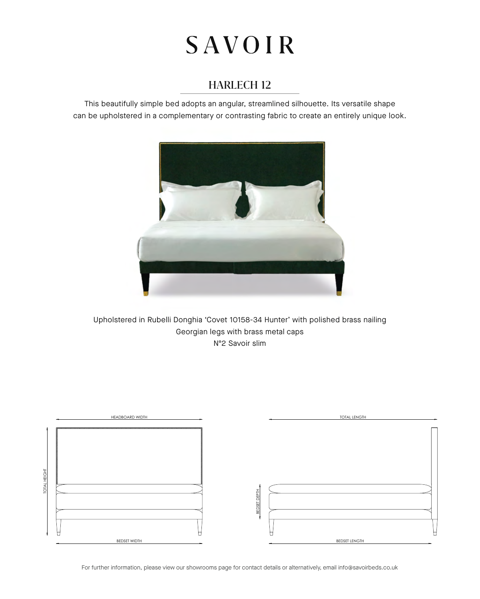# **SAVOIR**

## HARLECH 12

This beautifully simple bed adopts an angular, streamlined silhouette. Its versatile shape can be upholstered in a complementary or contrasting fabric to create an entirely unique look.



Upholstered in Rubelli Donghia 'Covet 10158-34 Hunter' with polished brass nailing Georgian legs with brass metal caps Nº2 Savoir slim



For further information, please view our showrooms page for contact details or alternatively, email info@savoirbeds.co.uk